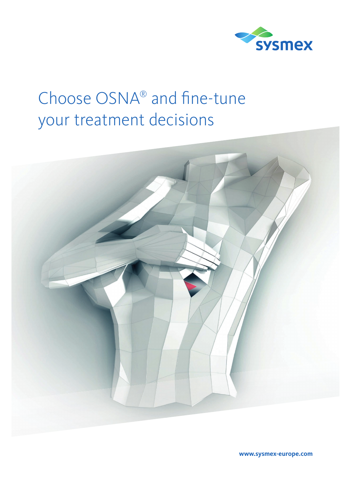

# Choose OSNA® and fine-tune your treatment decisions



**www.sysmex-europe.com**